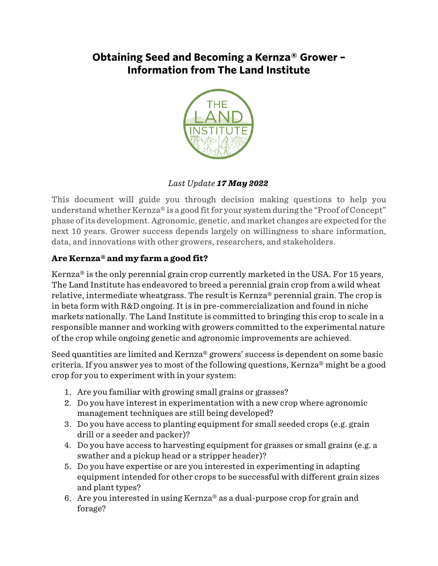## **Obtaining Seed and Becoming a Kernza® Grower – Information from The Land Institute**



## *Last Update 17 May 2022*

This document will guide you through decision making questions to help you understand whether Kernza® is a good fit for your system during the "Proof of Concept" phase of its development. Agronomic, genetic, and market changes are expected for the next 10 years. Grower success depends largely on willingness to share information, data, and innovations with other growers, researchers, and stakeholders.

## **Are Kernza® and my farm a good fit?**

Kernza® is the only perennial grain crop currently marketed in the USA. For 15 years, The Land Institute has endeavored to breed a perennial grain crop from a wild wheat relative, intermediate wheatgrass. The result is Kernza® perennial grain. The crop is in beta form with R&D ongoing. It is in pre-commercialization and found in niche markets nationally. The Land Institute is committed to bringing this crop to scale in a responsible manner and working with growers committed to the experimental nature of the crop while ongoing genetic and agronomic improvements are achieved.

Seed quantities are limited and Kernza® growers' success is dependent on some basic criteria. If you answer yes to most of the following questions, Kernza® might be a good crop for you to experiment with in your system:

- 1. Are you familiar with growing small grains or grasses?
- 2. Do you have interest in experimentation with a new crop where agronomic management techniques are still being developed?
- 3. Do you have access to planting equipment for small seeded crops (e.g. grain drill or a seeder and packer)?
- 4. Do you have access to harvesting equipment for grasses or small grains (e.g. a swather and a pickup head or a stripper header)?
- 5. Do you have expertise or are you interested in experimenting in adapting equipment intended for other crops to be successful with different grain sizes and plant types?
- 6. Are you interested in using Kernza® as a dual-purpose crop for grain and forage?